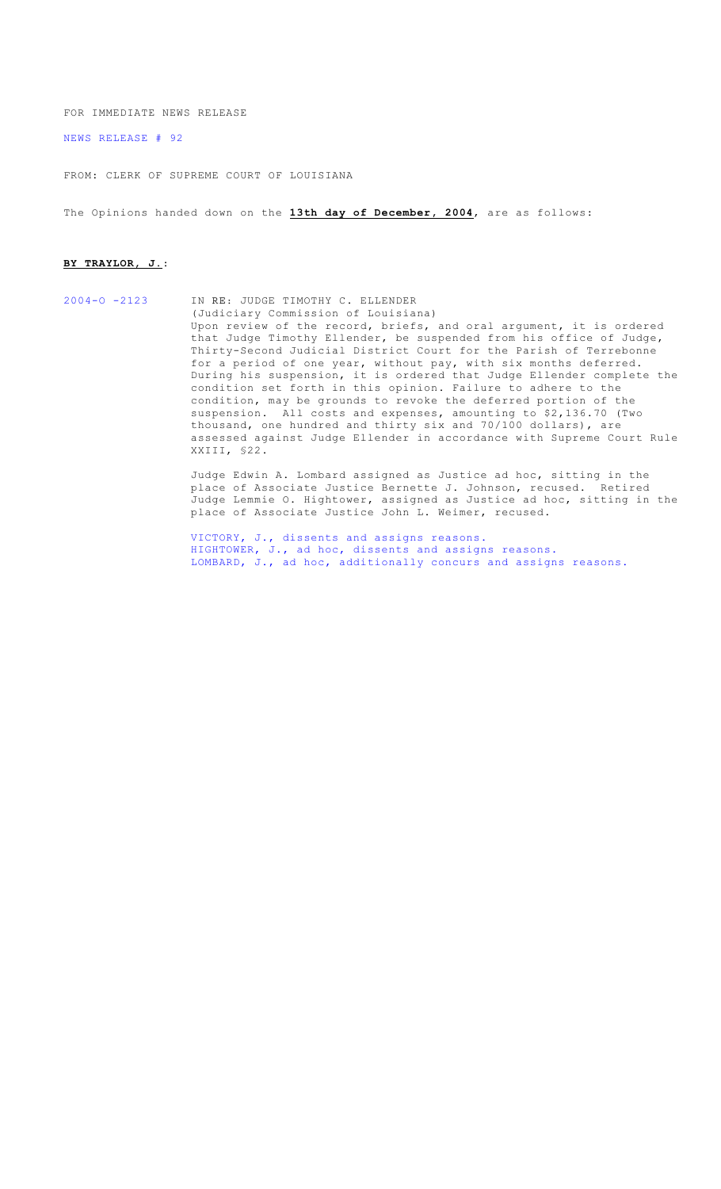FOR IMMEDIATE NEWS RELEASE

[NEWS RELEASE # 92](http://www.lasc.org/Opinions?p=2004-092)

FROM: CLERK OF SUPREME COURT OF LOUISIANA

The Opinions handed down on the **13th day of December, 2004**, are as follows:

#### **BY TRAYLOR, J.**:

[2004-O -2123](#page-1-0) IN RE: JUDGE TIMOTHY C. ELLENDER (Judiciary Commission of Louisiana) Upon review of the record, briefs, and oral argument, it is ordered that Judge Timothy Ellender, be suspended from his office of Judge, Thirty-Second Judicial District Court for the Parish of Terrebonne for a period of one year, without pay, with six months deferred. During his suspension, it is ordered that Judge Ellender complete the condition set forth in this opinion. Failure to adhere to the condition, may be grounds to revoke the deferred portion of the suspension. All costs and expenses, amounting to \$2,136.70 (Two thousand, one hundred and thirty six and 70/100 dollars), are assessed against Judge Ellender in accordance with Supreme Court Rule XXIII, §22.

Judge Edwin A. Lombard assigned as Justice ad hoc, sitting in the place of Associate Justice Bernette J. Johnson, recused. Retired Judge Lemmie O. Hightower, assigned as Justice ad hoc, sitting in the place of Associate Justice John L. Weimer, recused.

[VICTORY, J., dissents and assigns reasons.](#page-14-0) [HIGHTOWER, J., ad hoc, dissents and assigns reasons.](#page-18-0) [LOMBARD, J., ad hoc, additionally concurs and assigns reasons.](#page-19-0)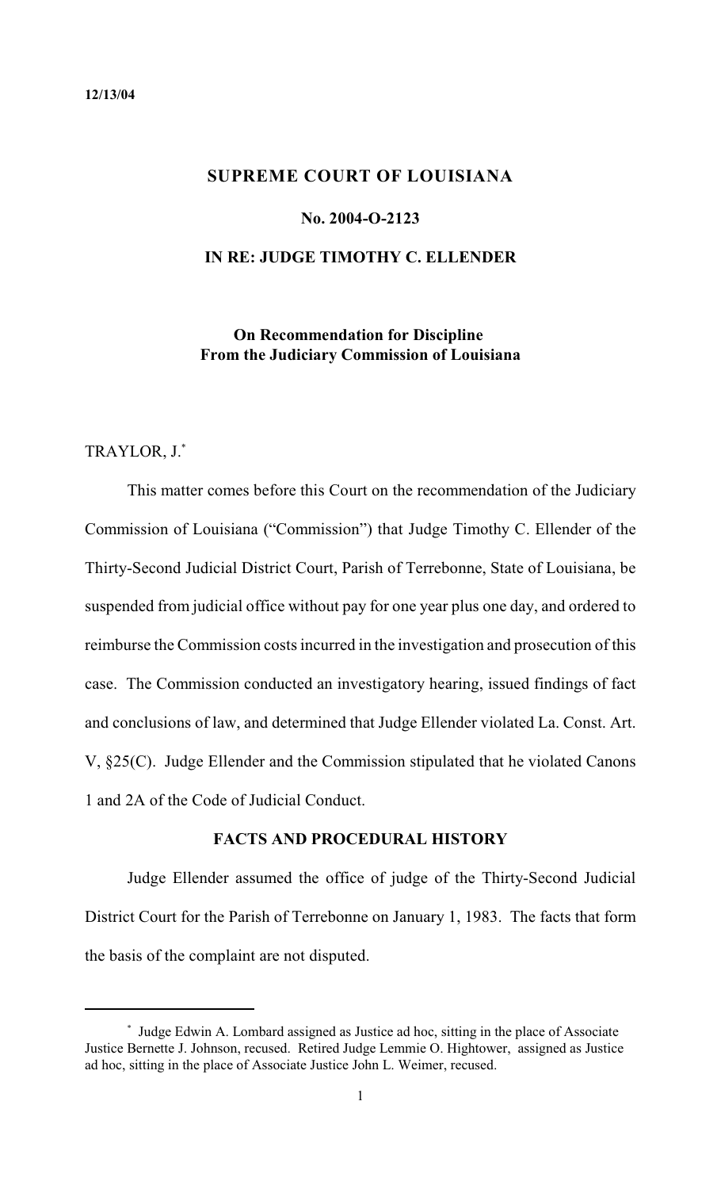# <span id="page-1-0"></span>**SUPREME COURT OF LOUISIANA**

#### **No. 2004-O-2123**

#### **IN RE: JUDGE TIMOTHY C. ELLENDER**

# **On Recommendation for Discipline From the Judiciary Commission of Louisiana**

TRAYLOR, J.\*

This matter comes before this Court on the recommendation of the Judiciary Commission of Louisiana ("Commission") that Judge Timothy C. Ellender of the Thirty-Second Judicial District Court, Parish of Terrebonne, State of Louisiana, be suspended from judicial office without pay for one year plus one day, and ordered to reimburse the Commission costs incurred in the investigation and prosecution of this case. The Commission conducted an investigatory hearing, issued findings of fact and conclusions of law, and determined that Judge Ellender violated La. Const. Art. V, §25(C). Judge Ellender and the Commission stipulated that he violated Canons 1 and 2A of the Code of Judicial Conduct.

#### **FACTS AND PROCEDURAL HISTORY**

Judge Ellender assumed the office of judge of the Thirty-Second Judicial District Court for the Parish of Terrebonne on January 1, 1983. The facts that form the basis of the complaint are not disputed.

Judge Edwin A. Lombard assigned as Justice ad hoc, sitting in the place of Associate \* Justice Bernette J. Johnson, recused. Retired Judge Lemmie O. Hightower, assigned as Justice ad hoc, sitting in the place of Associate Justice John L. Weimer, recused.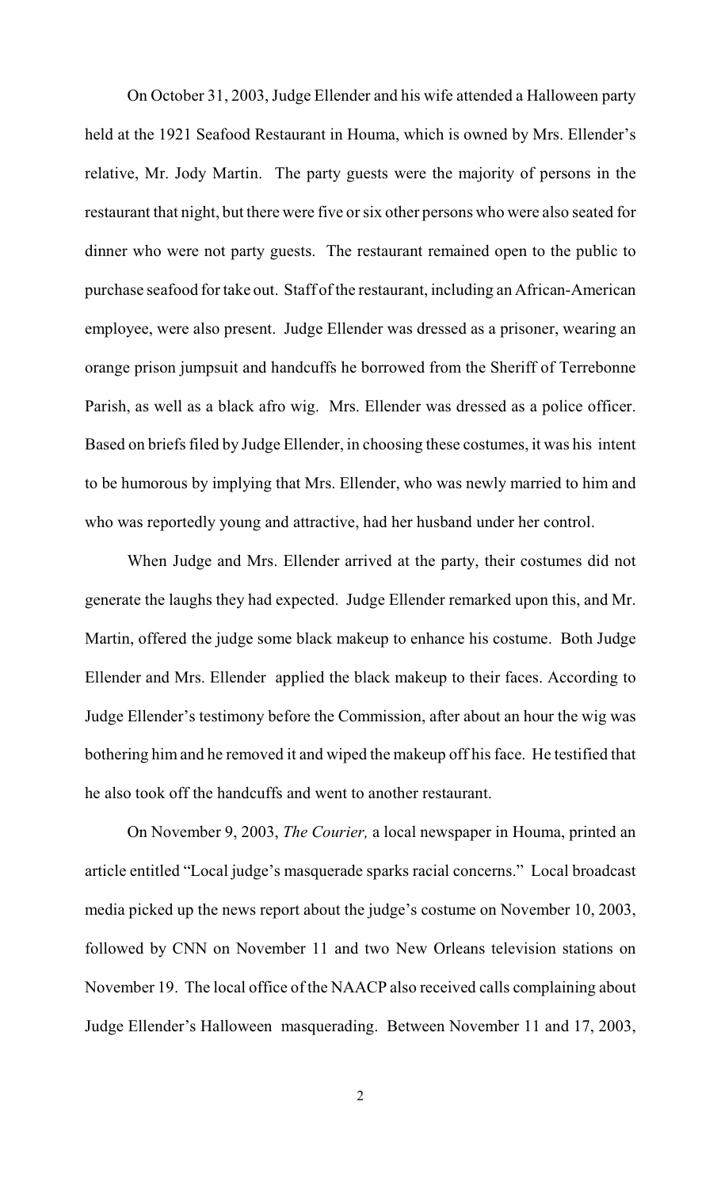On October 31, 2003, Judge Ellender and his wife attended a Halloween party held at the 1921 Seafood Restaurant in Houma, which is owned by Mrs. Ellender's relative, Mr. Jody Martin. The party guests were the majority of persons in the restaurant that night, but there were five orsix other persons who were also seated for dinner who were not party guests. The restaurant remained open to the public to purchase seafood for take out. Staff of the restaurant, including an African-American employee, were also present. Judge Ellender was dressed as a prisoner, wearing an orange prison jumpsuit and handcuffs he borrowed from the Sheriff of Terrebonne Parish, as well as a black afro wig. Mrs. Ellender was dressed as a police officer. Based on briefs filed by Judge Ellender, in choosing these costumes, it was his intent to be humorous by implying that Mrs. Ellender, who was newly married to him and who was reportedly young and attractive, had her husband under her control.

When Judge and Mrs. Ellender arrived at the party, their costumes did not generate the laughs they had expected. Judge Ellender remarked upon this, and Mr. Martin, offered the judge some black makeup to enhance his costume. Both Judge Ellender and Mrs. Ellender applied the black makeup to their faces. According to Judge Ellender's testimony before the Commission, after about an hour the wig was bothering him and he removed it and wiped the makeup off his face. He testified that he also took off the handcuffs and went to another restaurant.

On November 9, 2003, *The Courier,* a local newspaper in Houma, printed an article entitled "Local judge's masquerade sparks racial concerns." Local broadcast media picked up the news report about the judge's costume on November 10, 2003, followed by CNN on November 11 and two New Orleans television stations on November 19. The local office of the NAACP also received calls complaining about Judge Ellender's Halloween masquerading. Between November 11 and 17, 2003,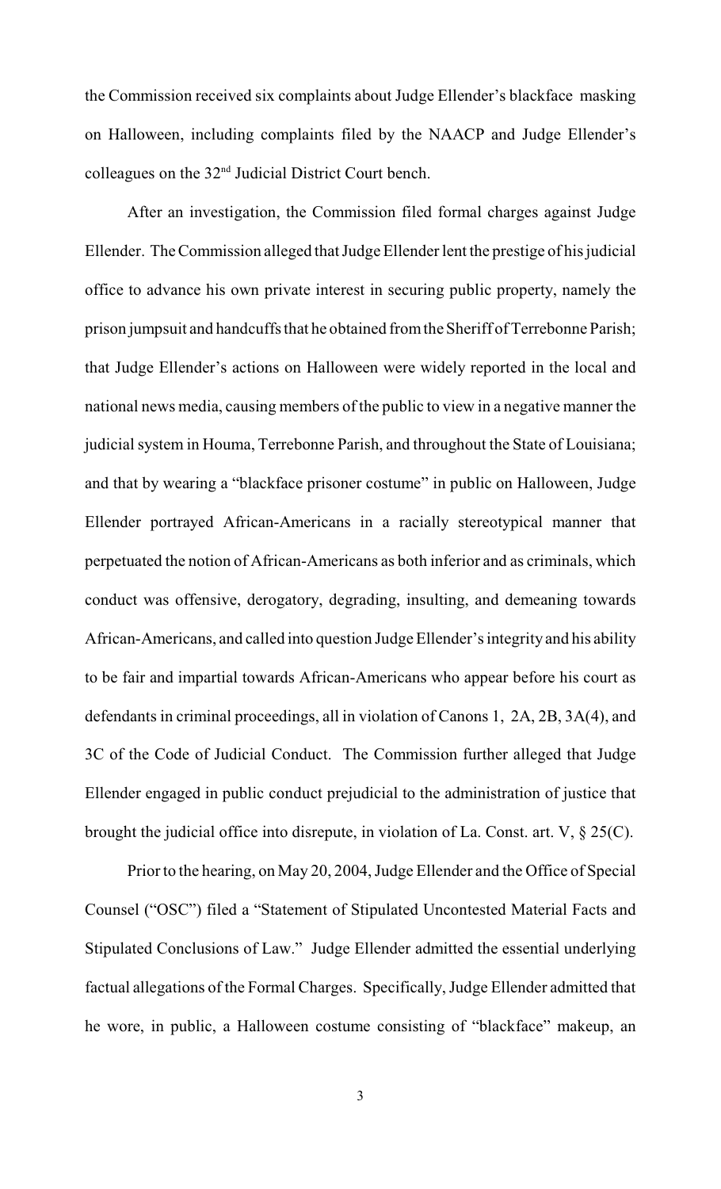the Commission received six complaints about Judge Ellender's blackface masking on Halloween, including complaints filed by the NAACP and Judge Ellender's colleagues on the  $32<sup>nd</sup>$  Judicial District Court bench.

After an investigation, the Commission filed formal charges against Judge Ellender. The Commission alleged that Judge Ellender lent the prestige of his judicial office to advance his own private interest in securing public property, namely the prison jumpsuit and handcuffs that he obtained from the Sheriff of Terrebonne Parish; that Judge Ellender's actions on Halloween were widely reported in the local and national news media, causing members of the public to view in a negative manner the judicial system in Houma, Terrebonne Parish, and throughout the State of Louisiana; and that by wearing a "blackface prisoner costume" in public on Halloween, Judge Ellender portrayed African-Americans in a racially stereotypical manner that perpetuated the notion of African-Americans as both inferior and as criminals, which conduct was offensive, derogatory, degrading, insulting, and demeaning towards African-Americans, and called into question Judge Ellender's integrity and his ability to be fair and impartial towards African-Americans who appear before his court as defendants in criminal proceedings, all in violation of Canons 1, 2A, 2B, 3A(4), and 3C of the Code of Judicial Conduct. The Commission further alleged that Judge Ellender engaged in public conduct prejudicial to the administration of justice that brought the judicial office into disrepute, in violation of La. Const. art. V, § 25(C).

Prior to the hearing, on May 20, 2004, Judge Ellender and the Office of Special Counsel ("OSC") filed a "Statement of Stipulated Uncontested Material Facts and Stipulated Conclusions of Law." Judge Ellender admitted the essential underlying factual allegations of the Formal Charges. Specifically, Judge Ellender admitted that he wore, in public, a Halloween costume consisting of "blackface" makeup, an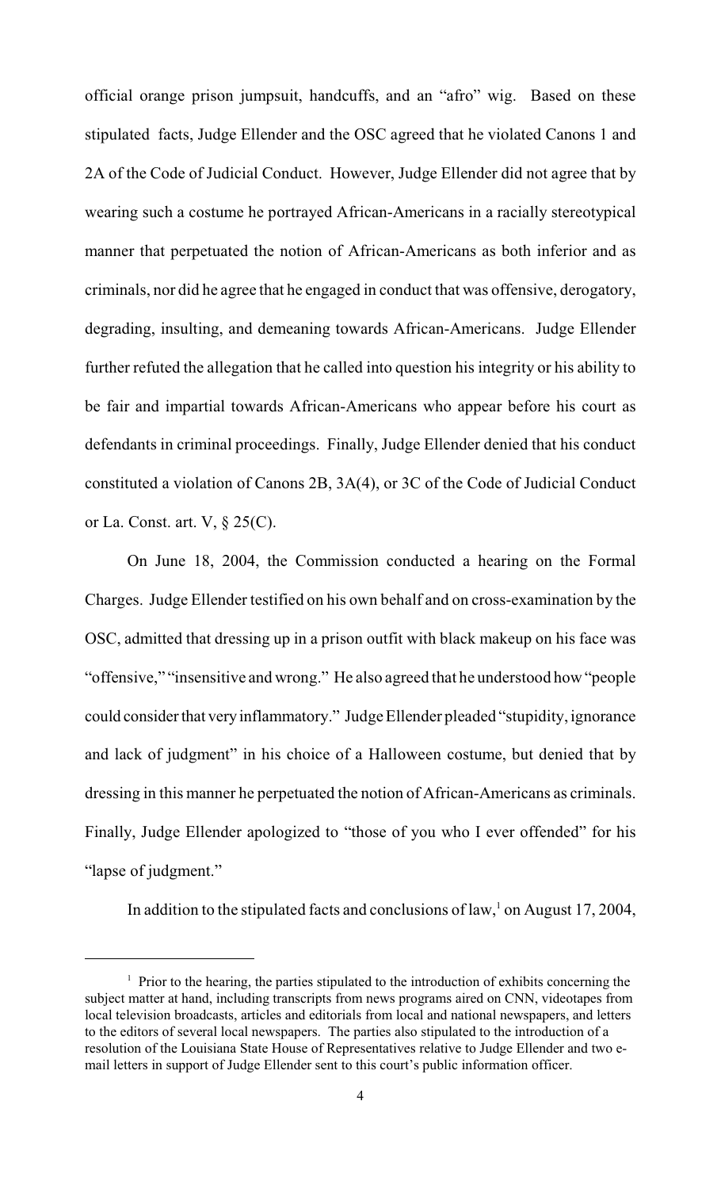official orange prison jumpsuit, handcuffs, and an "afro" wig. Based on these stipulated facts, Judge Ellender and the OSC agreed that he violated Canons 1 and 2A of the Code of Judicial Conduct. However, Judge Ellender did not agree that by wearing such a costume he portrayed African-Americans in a racially stereotypical manner that perpetuated the notion of African-Americans as both inferior and as criminals, nor did he agree that he engaged in conduct that was offensive, derogatory, degrading, insulting, and demeaning towards African-Americans. Judge Ellender further refuted the allegation that he called into question his integrity or his ability to be fair and impartial towards African-Americans who appear before his court as defendants in criminal proceedings. Finally, Judge Ellender denied that his conduct constituted a violation of Canons 2B, 3A(4), or 3C of the Code of Judicial Conduct or La. Const. art. V, § 25(C).

On June 18, 2004, the Commission conducted a hearing on the Formal Charges. Judge Ellender testified on his own behalf and on cross-examination by the OSC, admitted that dressing up in a prison outfit with black makeup on his face was "offensive," "insensitive and wrong." He also agreed that he understood how "people could consider that very inflammatory." Judge Ellender pleaded "stupidity, ignorance and lack of judgment" in his choice of a Halloween costume, but denied that by dressing in this manner he perpetuated the notion of African-Americans as criminals. Finally, Judge Ellender apologized to "those of you who I ever offended" for his "lapse of judgment."

In addition to the stipulated facts and conclusions of law,  $\alpha$  on August 17, 2004,

 $\frac{1}{1}$  Prior to the hearing, the parties stipulated to the introduction of exhibits concerning the subject matter at hand, including transcripts from news programs aired on CNN, videotapes from local television broadcasts, articles and editorials from local and national newspapers, and letters to the editors of several local newspapers. The parties also stipulated to the introduction of a resolution of the Louisiana State House of Representatives relative to Judge Ellender and two email letters in support of Judge Ellender sent to this court's public information officer.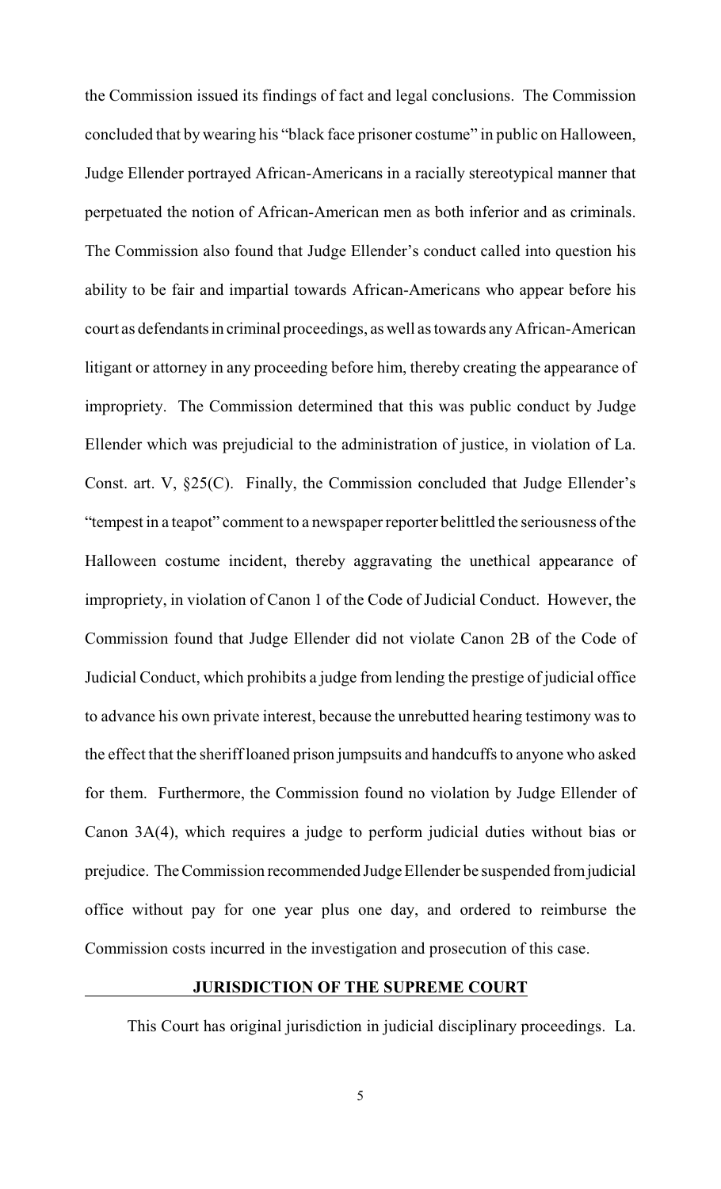the Commission issued its findings of fact and legal conclusions. The Commission concluded that by wearing his "black face prisoner costume" in public on Halloween, Judge Ellender portrayed African-Americans in a racially stereotypical manner that perpetuated the notion of African-American men as both inferior and as criminals. The Commission also found that Judge Ellender's conduct called into question his ability to be fair and impartial towards African-Americans who appear before his court as defendants in criminal proceedings, as well as towards any African-American litigant or attorney in any proceeding before him, thereby creating the appearance of impropriety. The Commission determined that this was public conduct by Judge Ellender which was prejudicial to the administration of justice, in violation of La. Const. art. V, §25(C). Finally, the Commission concluded that Judge Ellender's "tempest in a teapot" comment to a newspaper reporter belittled the seriousness of the Halloween costume incident, thereby aggravating the unethical appearance of impropriety, in violation of Canon 1 of the Code of Judicial Conduct. However, the Commission found that Judge Ellender did not violate Canon 2B of the Code of Judicial Conduct, which prohibits a judge from lending the prestige of judicial office to advance his own private interest, because the unrebutted hearing testimony was to the effect that the sheriff loaned prison jumpsuits and handcuffs to anyone who asked for them. Furthermore, the Commission found no violation by Judge Ellender of Canon 3A(4), which requires a judge to perform judicial duties without bias or prejudice. The Commission recommended Judge Ellender be suspended from judicial office without pay for one year plus one day, and ordered to reimburse the Commission costs incurred in the investigation and prosecution of this case.

#### **JURISDICTION OF THE SUPREME COURT**

This Court has original jurisdiction in judicial disciplinary proceedings. La.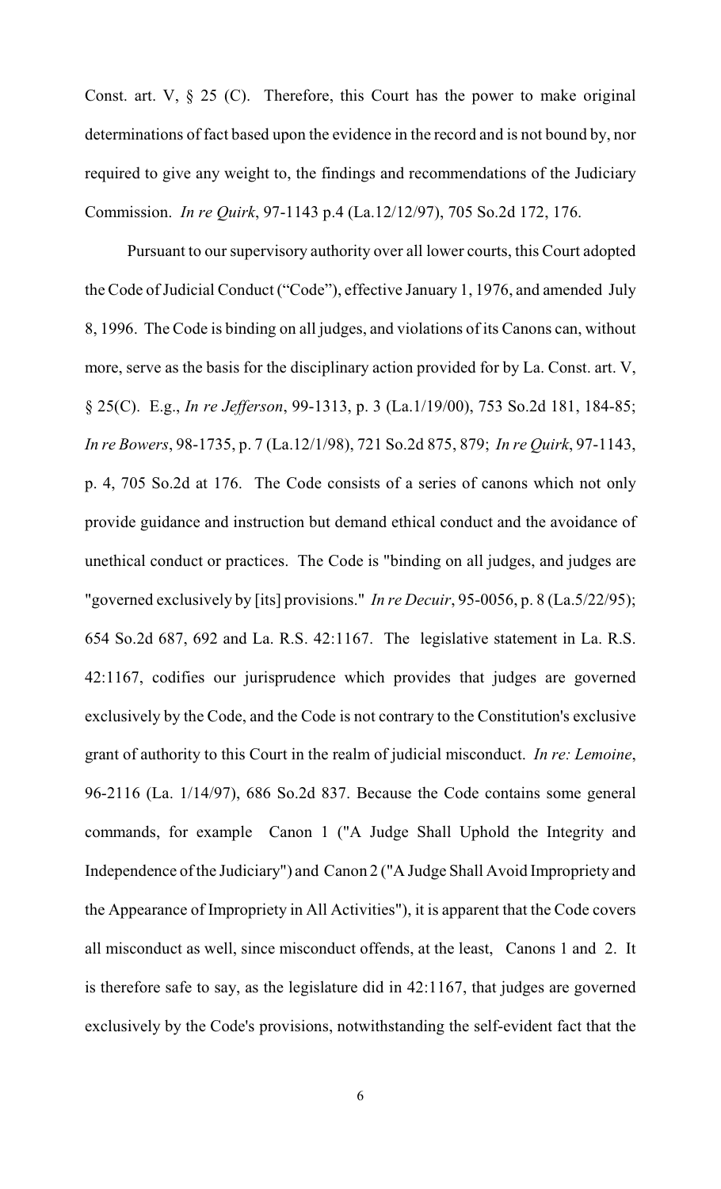Const. art. V,  $\S$  25 (C). Therefore, this Court has the power to make original determinations of fact based upon the evidence in the record and is not bound by, nor required to give any weight to, the findings and recommendations of the Judiciary Commission. *In re Quirk*, 97-1143 p.4 (La.12/12/97), 705 So.2d 172, 176.

Pursuant to our supervisory authority over all lower courts, this Court adopted the Code of Judicial Conduct ("Code"), effective January 1, 1976, and amended July 8, 1996. The Code is binding on all judges, and violations of its Canons can, without more, serve as the basis for the disciplinary action provided for by La. Const. art. V, § 25(C). E.g., *In re Jefferson*, 99-1313, p. 3 (La.1/19/00), 753 So.2d 181, 184-85; *In re Bowers*, 98-1735, p. 7 (La.12/1/98), 721 So.2d 875, 879; *In re Quirk*, 97-1143, p. 4, 705 So.2d at 176. The Code consists of a series of canons which not only provide guidance and instruction but demand ethical conduct and the avoidance of unethical conduct or practices. The Code is "binding on all judges, and judges are "governed exclusively by [its] provisions." *In re Decuir*, 95-0056, p. 8 (La.5/22/95); 654 So.2d 687, 692 and La. R.S. 42:1167. The legislative statement in La. R.S. 42:1167, codifies our jurisprudence which provides that judges are governed exclusively by the Code, and the Code is not contrary to the Constitution's exclusive grant of authority to this Court in the realm of judicial misconduct. *In re: Lemoine*, 96-2116 (La. 1/14/97), 686 So.2d 837. Because the Code contains some general commands, for example Canon 1 ("A Judge Shall Uphold the Integrity and Independence of the Judiciary") and Canon 2 ("A Judge Shall Avoid Impropriety and the Appearance of Impropriety in All Activities"), it is apparent that the Code covers all misconduct as well, since misconduct offends, at the least, Canons 1 and 2. It is therefore safe to say, as the legislature did in 42:1167, that judges are governed exclusively by the Code's provisions, notwithstanding the self-evident fact that the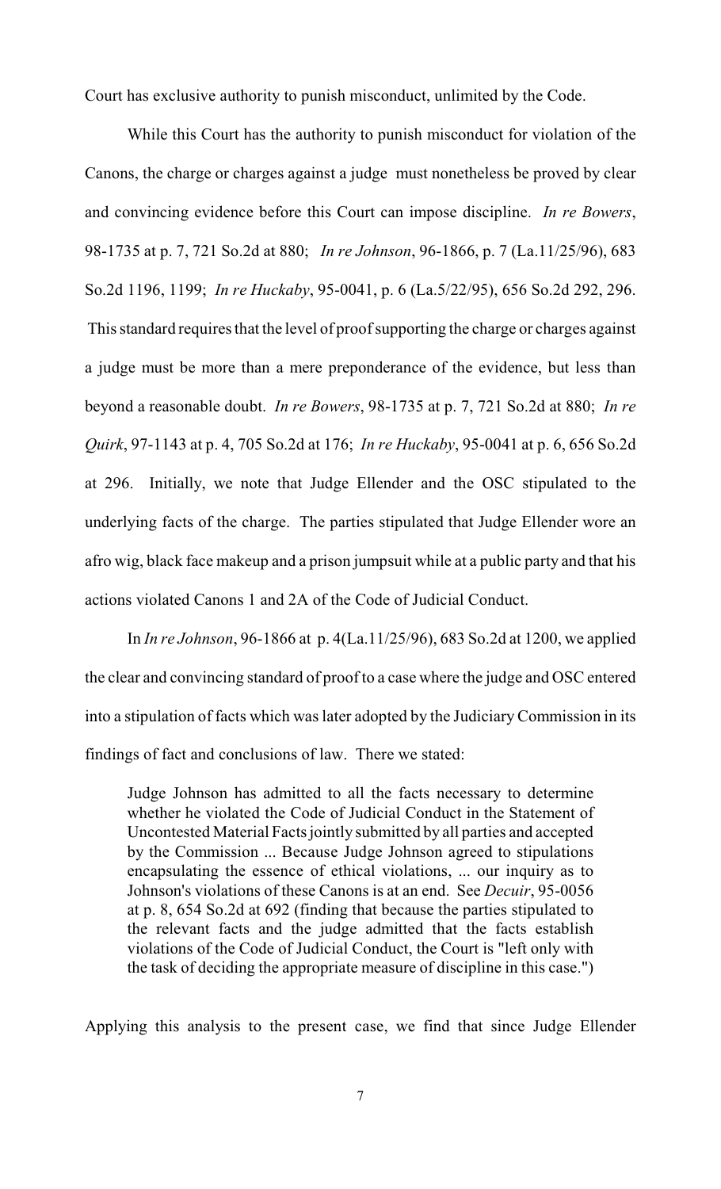Court has exclusive authority to punish misconduct, unlimited by the Code.

While this Court has the authority to punish misconduct for violation of the Canons, the charge or charges against a judge must nonetheless be proved by clear and convincing evidence before this Court can impose discipline. *In re Bowers*, 98-1735 at p. 7, 721 So.2d at 880; *In re Johnson*, 96-1866, p. 7 (La.11/25/96), 683 So.2d 1196, 1199; *In re Huckaby*, 95-0041, p. 6 (La.5/22/95), 656 So.2d 292, 296. This standard requires that the level of proofsupporting the charge or charges against a judge must be more than a mere preponderance of the evidence, but less than beyond a reasonable doubt. *In re Bowers*, 98-1735 at p. 7, 721 So.2d at 880; *In re Quirk*, 97-1143 at p. 4, 705 So.2d at 176; *In re Huckaby*, 95-0041 at p. 6, 656 So.2d at 296.Initially, we note that Judge Ellender and the OSC stipulated to the underlying facts of the charge. The parties stipulated that Judge Ellender wore an afro wig, black face makeup and a prison jumpsuit while at a public party and that his actions violated Canons 1 and 2A of the Code of Judicial Conduct.

In *In re Johnson*, 96-1866 at p. 4(La.11/25/96), 683 So.2d at 1200, we applied the clear and convincing standard of proof to a case where the judge and OSC entered into a stipulation of facts which was later adopted by the Judiciary Commission in its findings of fact and conclusions of law. There we stated:

Judge Johnson has admitted to all the facts necessary to determine whether he violated the Code of Judicial Conduct in the Statement of Uncontested Material Facts jointly submitted by all parties and accepted by the Commission ... Because Judge Johnson agreed to stipulations encapsulating the essence of ethical violations, ... our inquiry as to Johnson's violations of these Canons is at an end. See *Decuir*, 95-0056 at p. 8, 654 So.2d at 692 (finding that because the parties stipulated to the relevant facts and the judge admitted that the facts establish violations of the Code of Judicial Conduct, the Court is "left only with the task of deciding the appropriate measure of discipline in this case.")

Applying this analysis to the present case, we find that since Judge Ellender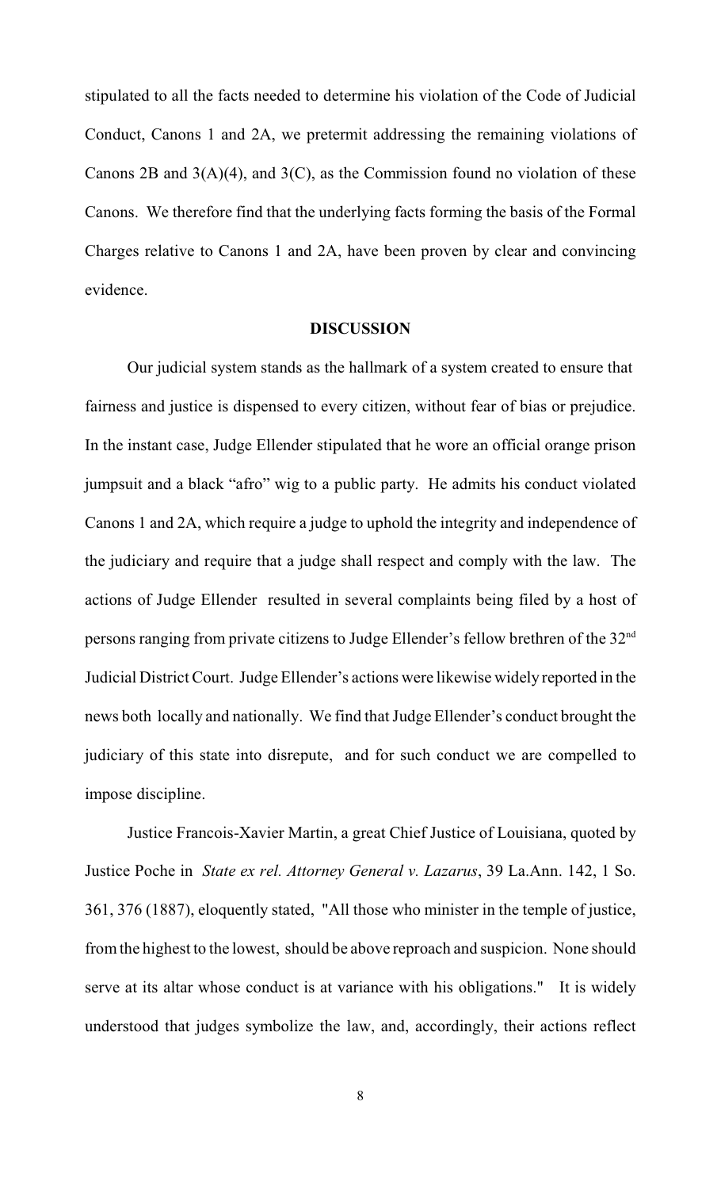stipulated to all the facts needed to determine his violation of the Code of Judicial Conduct, Canons 1 and 2A, we pretermit addressing the remaining violations of Canons 2B and  $3(A)(4)$ , and  $3(C)$ , as the Commission found no violation of these Canons. We therefore find that the underlying facts forming the basis of the Formal Charges relative to Canons 1 and 2A, have been proven by clear and convincing evidence.

#### **DISCUSSION**

Our judicial system stands as the hallmark of a system created to ensure that fairness and justice is dispensed to every citizen, without fear of bias or prejudice. In the instant case, Judge Ellender stipulated that he wore an official orange prison jumpsuit and a black "afro" wig to a public party. He admits his conduct violated Canons 1 and 2A, which require a judge to uphold the integrity and independence of the judiciary and require that a judge shall respect and comply with the law. The actions of Judge Ellender resulted in several complaints being filed by a host of persons ranging from private citizens to Judge Ellender's fellow brethren of the 32nd Judicial District Court. Judge Ellender's actions were likewise widely reported in the news both locally and nationally. We find that Judge Ellender's conduct brought the judiciary of this state into disrepute, and for such conduct we are compelled to impose discipline.

Justice Francois-Xavier Martin, a great Chief Justice of Louisiana, quoted by Justice Poche in *State ex rel. Attorney General v. Lazarus*, 39 La.Ann. 142, 1 So. 361, 376 (1887), eloquently stated, "All those who minister in the temple of justice, from the highest to the lowest, should be above reproach and suspicion. None should serve at its altar whose conduct is at variance with his obligations." It is widely understood that judges symbolize the law, and, accordingly, their actions reflect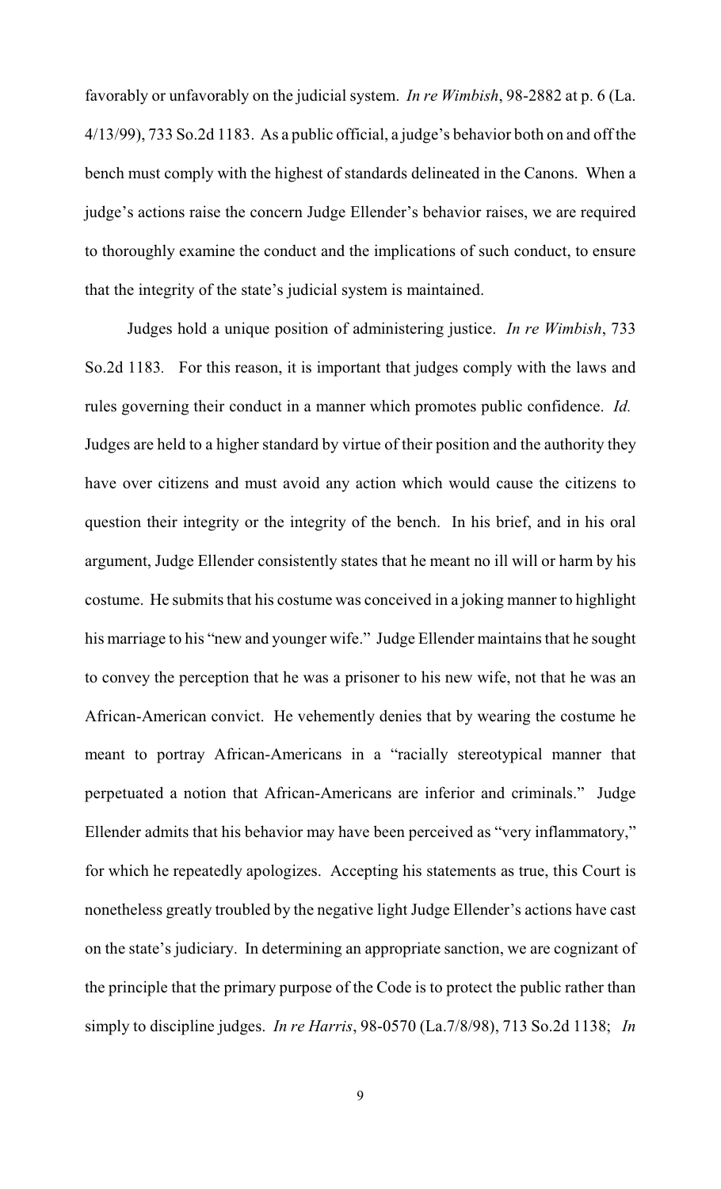favorably or unfavorably on the judicial system. *In re Wimbish*, 98-2882 at p. 6 (La. 4/13/99), 733 So.2d 1183. As a public official, a judge's behavior both on and off the bench must comply with the highest of standards delineated in the Canons. When a judge's actions raise the concern Judge Ellender's behavior raises, we are required to thoroughly examine the conduct and the implications of such conduct, to ensure that the integrity of the state's judicial system is maintained.

Judges hold a unique position of administering justice. *In re Wimbish*, 733 So.2d 1183*.* For this reason, it is important that judges comply with the laws and rules governing their conduct in a manner which promotes public confidence. *Id.* Judges are held to a higher standard by virtue of their position and the authority they have over citizens and must avoid any action which would cause the citizens to question their integrity or the integrity of the bench. In his brief, and in his oral argument, Judge Ellender consistently states that he meant no ill will or harm by his costume. He submits that his costume was conceived in a joking manner to highlight his marriage to his "new and younger wife." Judge Ellender maintains that he sought to convey the perception that he was a prisoner to his new wife, not that he was an African-American convict. He vehemently denies that by wearing the costume he meant to portray African-Americans in a "racially stereotypical manner that perpetuated a notion that African-Americans are inferior and criminals." Judge Ellender admits that his behavior may have been perceived as "very inflammatory," for which he repeatedly apologizes. Accepting his statements as true, this Court is nonetheless greatly troubled by the negative light Judge Ellender's actions have cast on the state's judiciary. In determining an appropriate sanction, we are cognizant of the principle that the primary purpose of the Code is to protect the public rather than simply to discipline judges. *In re Harris*, 98-0570 (La.7/8/98), 713 So.2d 1138; *In*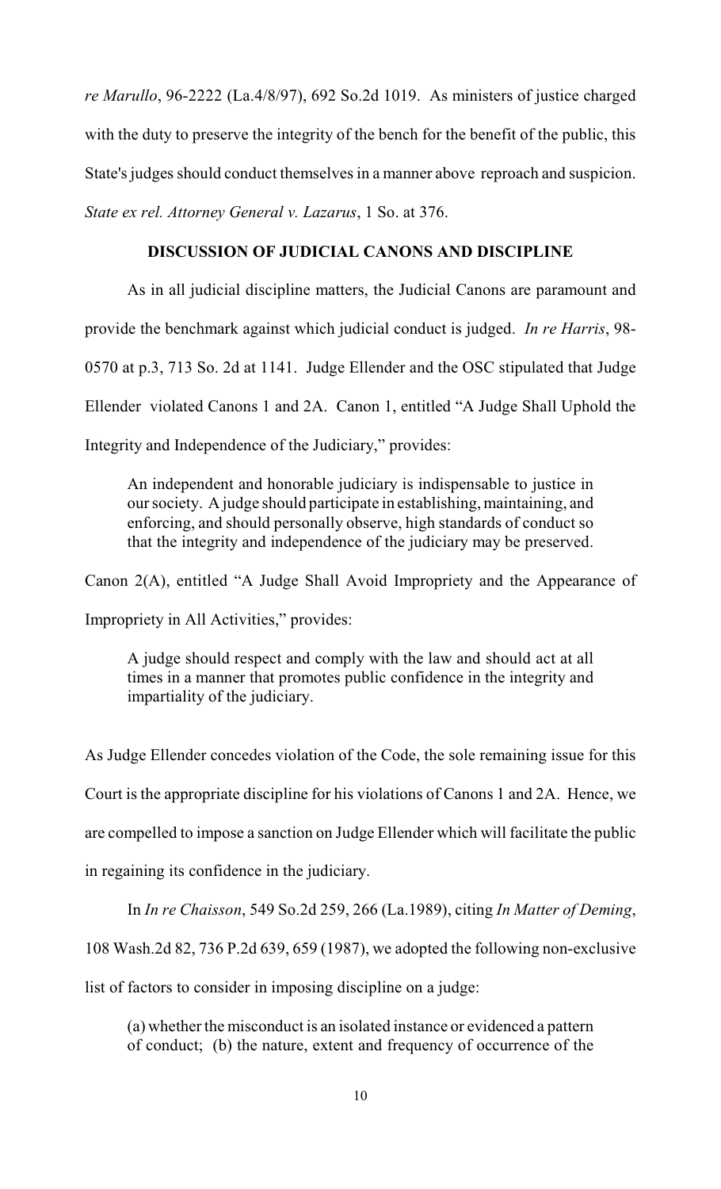*re Marullo*, 96-2222 (La.4/8/97), 692 So.2d 1019. As ministers of justice charged with the duty to preserve the integrity of the bench for the benefit of the public, this State's judges should conduct themselves in a manner above reproach and suspicion. *State ex rel. Attorney General v. Lazarus*, 1 So. at 376.

# **DISCUSSION OF JUDICIAL CANONS AND DISCIPLINE**

As in all judicial discipline matters, the Judicial Canons are paramount and provide the benchmark against which judicial conduct is judged. *In re Harris*, 98- 0570 at p.3, 713 So. 2d at 1141. Judge Ellender and the OSC stipulated that Judge Ellender violated Canons 1 and 2A. Canon 1, entitled "A Judge Shall Uphold the Integrity and Independence of the Judiciary," provides:

An independent and honorable judiciary is indispensable to justice in our society. A judge should participate in establishing, maintaining, and enforcing, and should personally observe, high standards of conduct so that the integrity and independence of the judiciary may be preserved.

Canon 2(A), entitled "A Judge Shall Avoid Impropriety and the Appearance of Impropriety in All Activities," provides:

A judge should respect and comply with the law and should act at all times in a manner that promotes public confidence in the integrity and impartiality of the judiciary.

As Judge Ellender concedes violation of the Code, the sole remaining issue for this Court is the appropriate discipline for his violations of Canons 1 and 2A. Hence, we are compelled to impose a sanction on Judge Ellender which will facilitate the public in regaining its confidence in the judiciary.

In *In re Chaisson*, 549 So.2d 259, 266 (La.1989), citing *In Matter of Deming*,

108 Wash.2d 82, 736 P.2d 639, 659 (1987), we adopted the following non-exclusive

list of factors to consider in imposing discipline on a judge:

(a) whether the misconduct is an isolated instance or evidenced a pattern of conduct; (b) the nature, extent and frequency of occurrence of the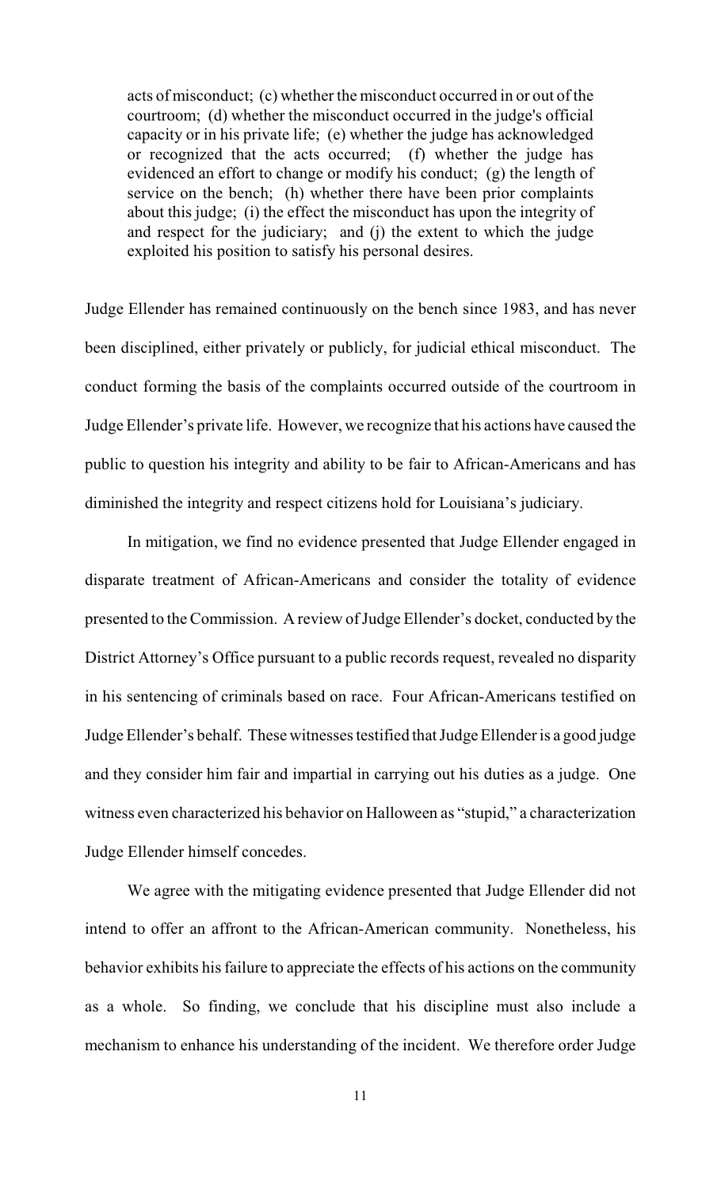acts of misconduct; (c) whether the misconduct occurred in or out of the courtroom; (d) whether the misconduct occurred in the judge's official capacity or in his private life; (e) whether the judge has acknowledged or recognized that the acts occurred; (f) whether the judge has evidenced an effort to change or modify his conduct; (g) the length of service on the bench; (h) whether there have been prior complaints about this judge; (i) the effect the misconduct has upon the integrity of and respect for the judiciary; and (j) the extent to which the judge exploited his position to satisfy his personal desires.

Judge Ellender has remained continuously on the bench since 1983, and has never been disciplined, either privately or publicly, for judicial ethical misconduct. The conduct forming the basis of the complaints occurred outside of the courtroom in Judge Ellender's private life. However, we recognize that his actions have caused the public to question his integrity and ability to be fair to African-Americans and has diminished the integrity and respect citizens hold for Louisiana's judiciary.

In mitigation, we find no evidence presented that Judge Ellender engaged in disparate treatment of African-Americans and consider the totality of evidence presented to the Commission. A review of Judge Ellender's docket, conducted by the District Attorney's Office pursuant to a public records request, revealed no disparity in his sentencing of criminals based on race. Four African-Americans testified on Judge Ellender's behalf. These witnesses testified that Judge Ellender is a good judge and they consider him fair and impartial in carrying out his duties as a judge. One witness even characterized his behavior on Halloween as "stupid," a characterization Judge Ellender himself concedes.

We agree with the mitigating evidence presented that Judge Ellender did not intend to offer an affront to the African-American community. Nonetheless, his behavior exhibits his failure to appreciate the effects of his actions on the community as a whole. So finding, we conclude that his discipline must also include a mechanism to enhance his understanding of the incident. We therefore order Judge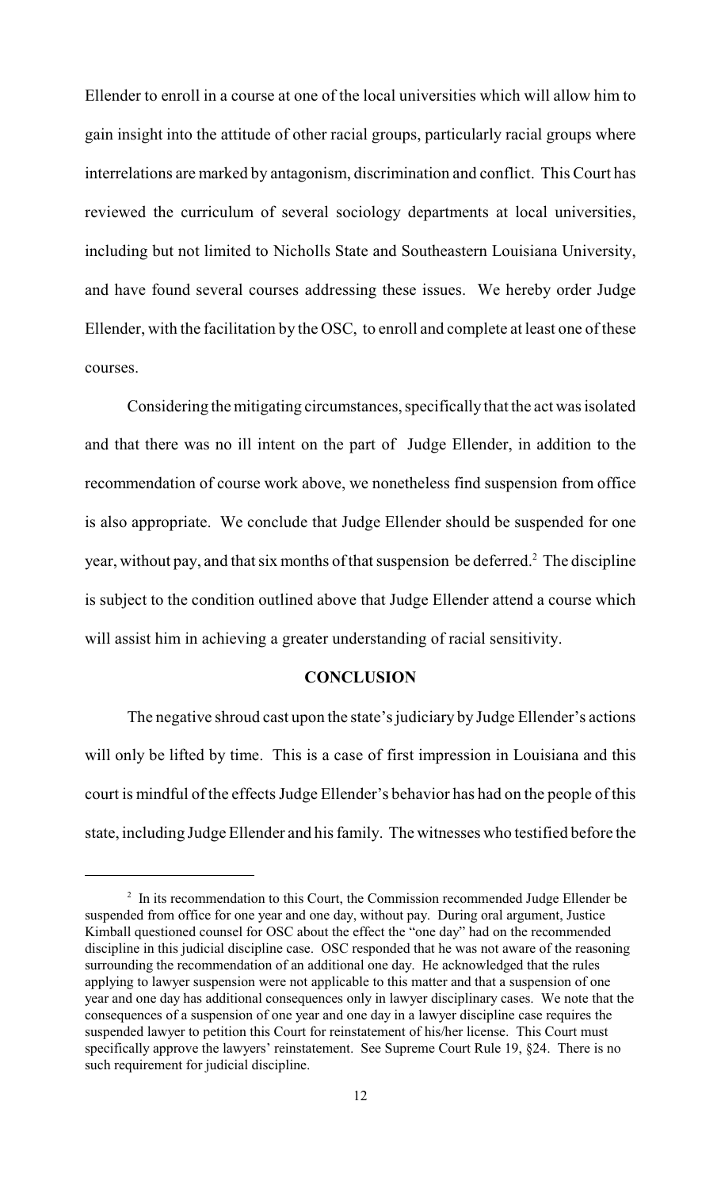Ellender to enroll in a course at one of the local universities which will allow him to gain insight into the attitude of other racial groups, particularly racial groups where interrelations are marked by antagonism, discrimination and conflict. This Court has reviewed the curriculum of several sociology departments at local universities, including but not limited to Nicholls State and Southeastern Louisiana University, and have found several courses addressing these issues. We hereby order Judge Ellender, with the facilitation by the OSC, to enroll and complete at least one of these courses.

Considering the mitigating circumstances, specifically that the act was isolated and that there was no ill intent on the part of Judge Ellender, in addition to the recommendation of course work above, we nonetheless find suspension from office is also appropriate. We conclude that Judge Ellender should be suspended for one year, without pay, and that six months of that suspension be deferred.<sup>2</sup> The discipline is subject to the condition outlined above that Judge Ellender attend a course which will assist him in achieving a greater understanding of racial sensitivity.

#### **CONCLUSION**

The negative shroud cast upon the state's judiciary by Judge Ellender's actions will only be lifted by time. This is a case of first impression in Louisiana and this court is mindful of the effects Judge Ellender's behavior has had on the people of this state, including Judge Ellender and his family. The witnesses who testified before the

 $\frac{1}{2}$  In its recommendation to this Court, the Commission recommended Judge Ellender be suspended from office for one year and one day, without pay. During oral argument, Justice Kimball questioned counsel for OSC about the effect the "one day" had on the recommended discipline in this judicial discipline case. OSC responded that he was not aware of the reasoning surrounding the recommendation of an additional one day. He acknowledged that the rules applying to lawyer suspension were not applicable to this matter and that a suspension of one year and one day has additional consequences only in lawyer disciplinary cases. We note that the consequences of a suspension of one year and one day in a lawyer discipline case requires the suspended lawyer to petition this Court for reinstatement of his/her license. This Court must specifically approve the lawyers' reinstatement. See Supreme Court Rule 19, §24. There is no such requirement for judicial discipline.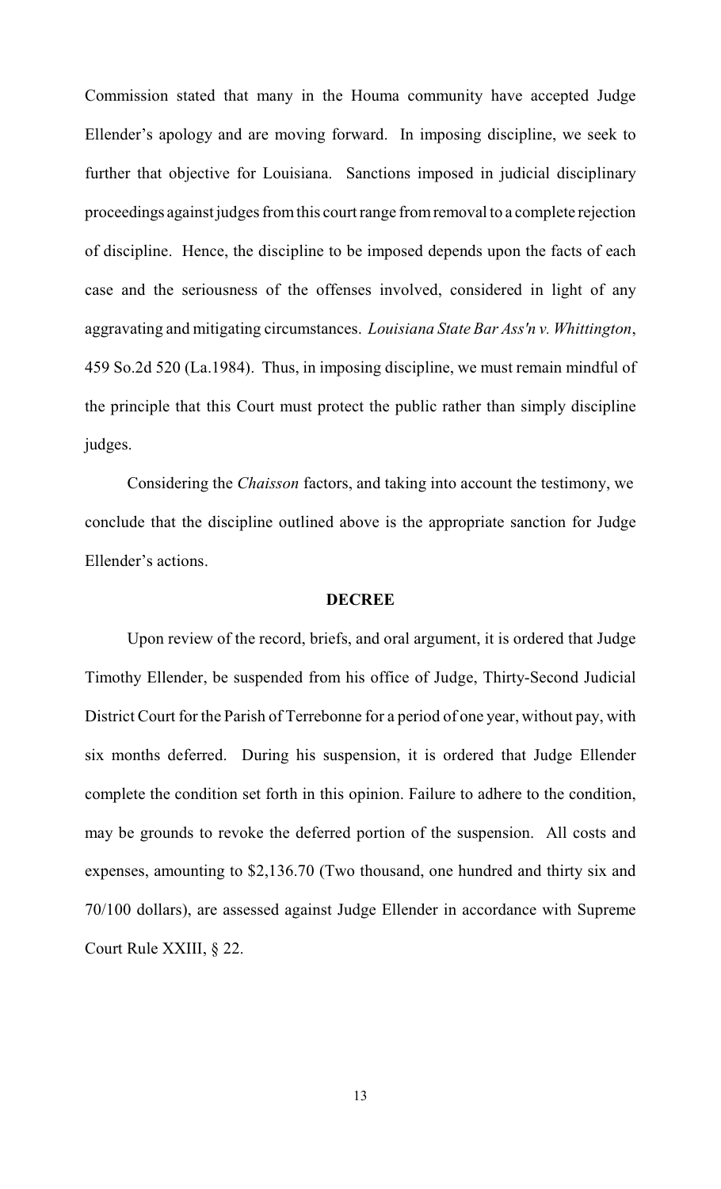Commission stated that many in the Houma community have accepted Judge Ellender's apology and are moving forward. In imposing discipline, we seek to further that objective for Louisiana. Sanctions imposed in judicial disciplinary proceedings against judges from this court range from removal to a complete rejection of discipline. Hence, the discipline to be imposed depends upon the facts of each case and the seriousness of the offenses involved, considered in light of any aggravating and mitigating circumstances. *Louisiana State Bar Ass'n v. Whittington*, 459 So.2d 520 (La.1984). Thus, in imposing discipline, we must remain mindful of the principle that this Court must protect the public rather than simply discipline judges.

Considering the *Chaisson* factors, and taking into account the testimony, we conclude that the discipline outlined above is the appropriate sanction for Judge Ellender's actions.

# **DECREE**

Upon review of the record, briefs, and oral argument, it is ordered that Judge Timothy Ellender, be suspended from his office of Judge, Thirty-Second Judicial District Court for the Parish of Terrebonne for a period of one year, without pay, with six months deferred. During his suspension, it is ordered that Judge Ellender complete the condition set forth in this opinion. Failure to adhere to the condition, may be grounds to revoke the deferred portion of the suspension. All costs and expenses, amounting to \$2,136.70 (Two thousand, one hundred and thirty six and 70/100 dollars), are assessed against Judge Ellender in accordance with Supreme Court Rule XXIII, § 22.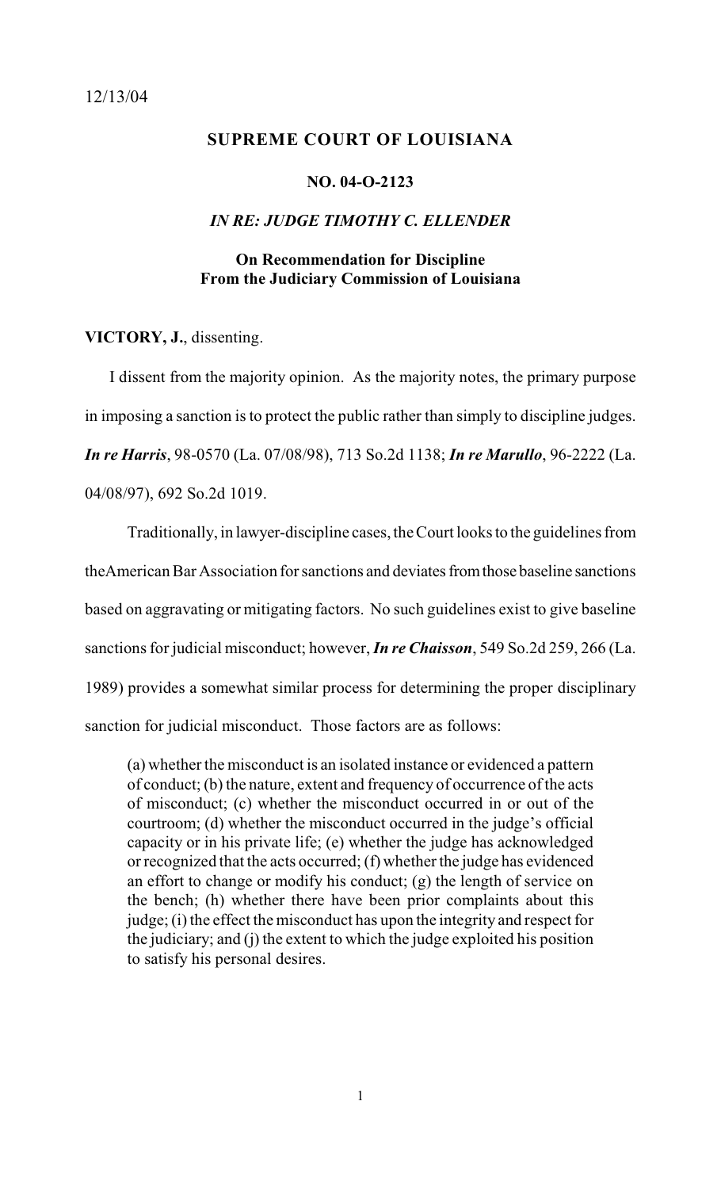#### <span id="page-14-0"></span>**SUPREME COURT OF LOUISIANA**

#### **NO. 04-O-2123**

# *IN RE: JUDGE TIMOTHY C. ELLENDER*

# **On Recommendation for Discipline From the Judiciary Commission of Louisiana**

**VICTORY, J.**, dissenting.

 I dissent from the majority opinion. As the majority notes, the primary purpose in imposing a sanction is to protect the public rather than simply to discipline judges. *In re Harris*, 98-0570 (La. 07/08/98), 713 So.2d 1138; *In re Marullo*, 96-2222 (La. 04/08/97), 692 So.2d 1019.

Traditionally, in lawyer-discipline cases, the Court looks to the guidelines from theAmerican Bar Association for sanctions and deviates from those baseline sanctions based on aggravating or mitigating factors. No such guidelines exist to give baseline sanctions for judicial misconduct; however, *In re Chaisson*, 549 So.2d 259, 266 (La. 1989) provides a somewhat similar process for determining the proper disciplinary sanction for judicial misconduct. Those factors are as follows:

(a) whether the misconduct is an isolated instance or evidenced a pattern of conduct; (b) the nature, extent and frequency of occurrence of the acts of misconduct; (c) whether the misconduct occurred in or out of the courtroom; (d) whether the misconduct occurred in the judge's official capacity or in his private life; (e) whether the judge has acknowledged or recognized that the acts occurred; (f) whether the judge has evidenced an effort to change or modify his conduct; (g) the length of service on the bench; (h) whether there have been prior complaints about this judge; (i) the effect the misconduct has upon the integrity and respect for the judiciary; and (j) the extent to which the judge exploited his position to satisfy his personal desires.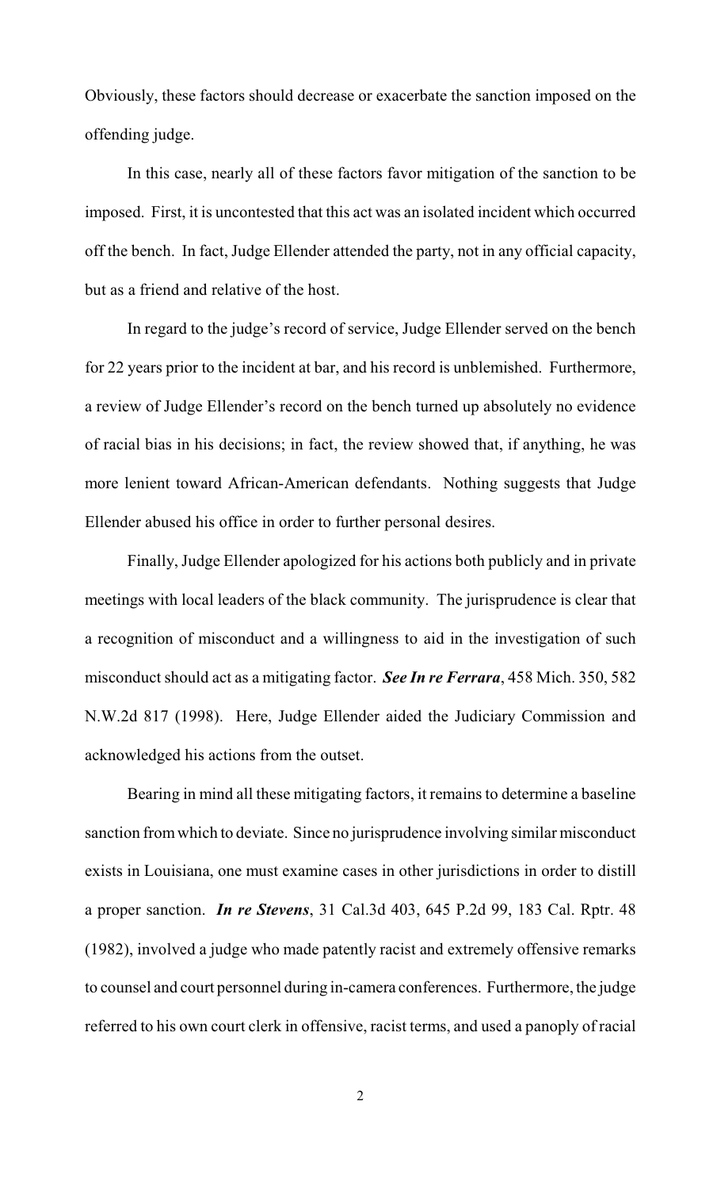Obviously, these factors should decrease or exacerbate the sanction imposed on the offending judge.

In this case, nearly all of these factors favor mitigation of the sanction to be imposed. First, it is uncontested that this act was an isolated incident which occurred off the bench. In fact, Judge Ellender attended the party, not in any official capacity, but as a friend and relative of the host.

In regard to the judge's record of service, Judge Ellender served on the bench for 22 years prior to the incident at bar, and his record is unblemished. Furthermore, a review of Judge Ellender's record on the bench turned up absolutely no evidence of racial bias in his decisions; in fact, the review showed that, if anything, he was more lenient toward African-American defendants. Nothing suggests that Judge Ellender abused his office in order to further personal desires.

Finally, Judge Ellender apologized for his actions both publicly and in private meetings with local leaders of the black community. The jurisprudence is clear that a recognition of misconduct and a willingness to aid in the investigation of such misconduct should act as a mitigating factor. *See In re Ferrara*, 458 Mich. 350, 582 N.W.2d 817 (1998). Here, Judge Ellender aided the Judiciary Commission and acknowledged his actions from the outset.

Bearing in mind all these mitigating factors, it remains to determine a baseline sanction from which to deviate. Since no jurisprudence involving similar misconduct exists in Louisiana, one must examine cases in other jurisdictions in order to distill a proper sanction. *In re Stevens*, 31 Cal.3d 403, 645 P.2d 99, 183 Cal. Rptr. 48 (1982), involved a judge who made patently racist and extremely offensive remarks to counsel and court personnel during in-camera conferences. Furthermore, the judge referred to his own court clerk in offensive, racist terms, and used a panoply of racial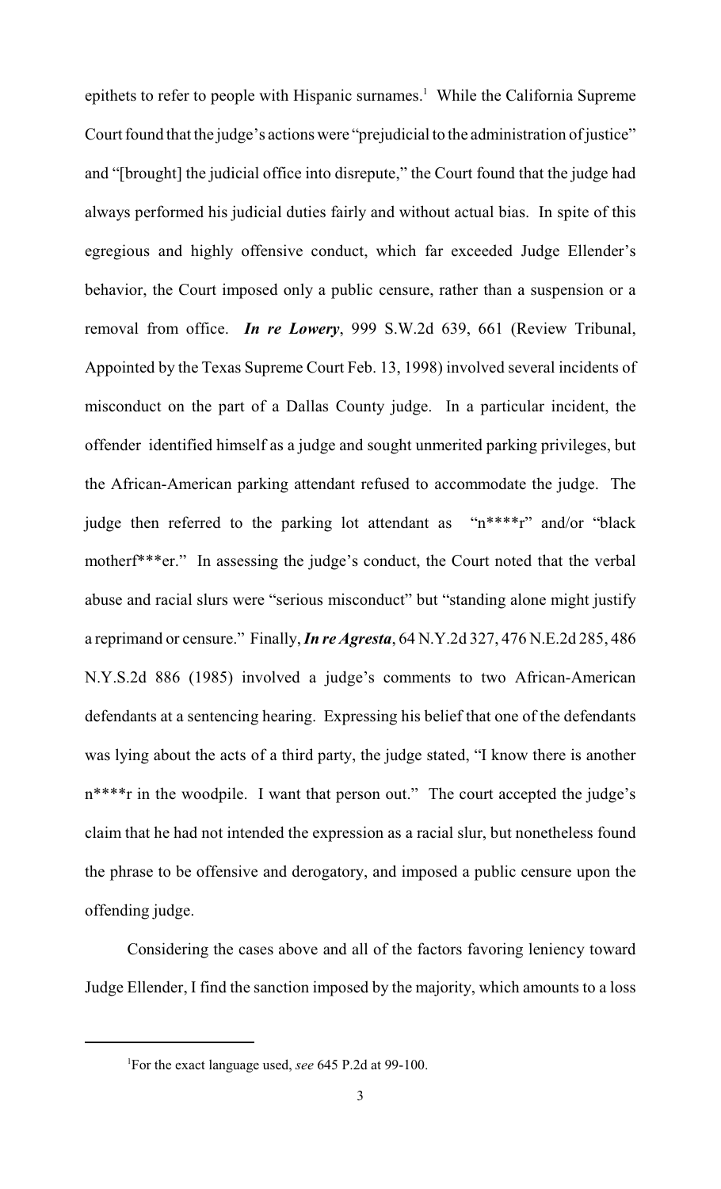epithets to refer to people with Hispanic surnames.<sup>1</sup> While the California Supreme Court found that the judge's actions were "prejudicial to the administration of justice" and "[brought] the judicial office into disrepute," the Court found that the judge had always performed his judicial duties fairly and without actual bias. In spite of this egregious and highly offensive conduct, which far exceeded Judge Ellender's behavior, the Court imposed only a public censure, rather than a suspension or a removal from office. *In re Lowery*, 999 S.W.2d 639, 661 (Review Tribunal, Appointed by the Texas Supreme Court Feb. 13, 1998) involved several incidents of misconduct on the part of a Dallas County judge. In a particular incident, the offender identified himself as a judge and sought unmerited parking privileges, but the African-American parking attendant refused to accommodate the judge. The judge then referred to the parking lot attendant as " $n***r$ " and/or "black motherf\*\*\*er." In assessing the judge's conduct, the Court noted that the verbal abuse and racial slurs were "serious misconduct" but "standing alone might justify a reprimand or censure." Finally, *In re Agresta*, 64 N.Y.2d 327, 476 N.E.2d 285, 486 N.Y.S.2d 886 (1985) involved a judge's comments to two African-American defendants at a sentencing hearing. Expressing his belief that one of the defendants was lying about the acts of a third party, the judge stated, "I know there is another n\*\*\*\*r in the woodpile. I want that person out." The court accepted the judge's claim that he had not intended the expression as a racial slur, but nonetheless found the phrase to be offensive and derogatory, and imposed a public censure upon the offending judge.

Considering the cases above and all of the factors favoring leniency toward Judge Ellender, I find the sanction imposed by the majority, which amounts to a loss

<sup>&</sup>lt;sup>1</sup>For the exact language used, *see* 645 P.2d at 99-100.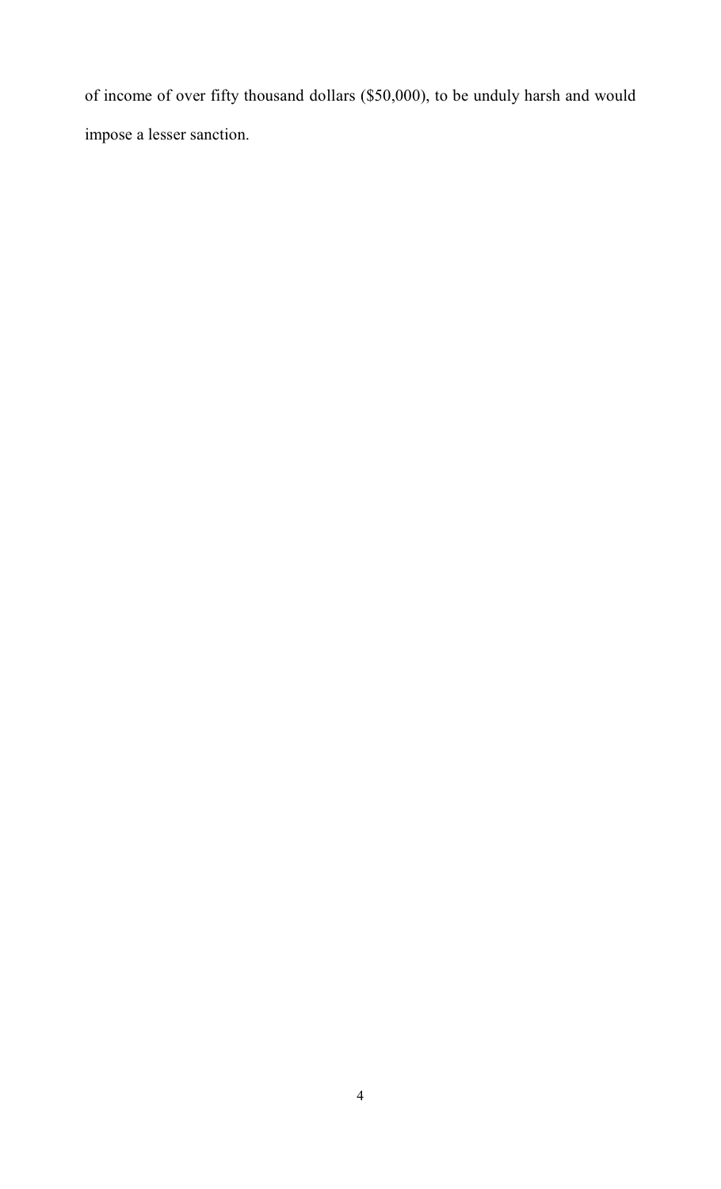of income of over fifty thousand dollars (\$50,000), to be unduly harsh and would impose a lesser sanction.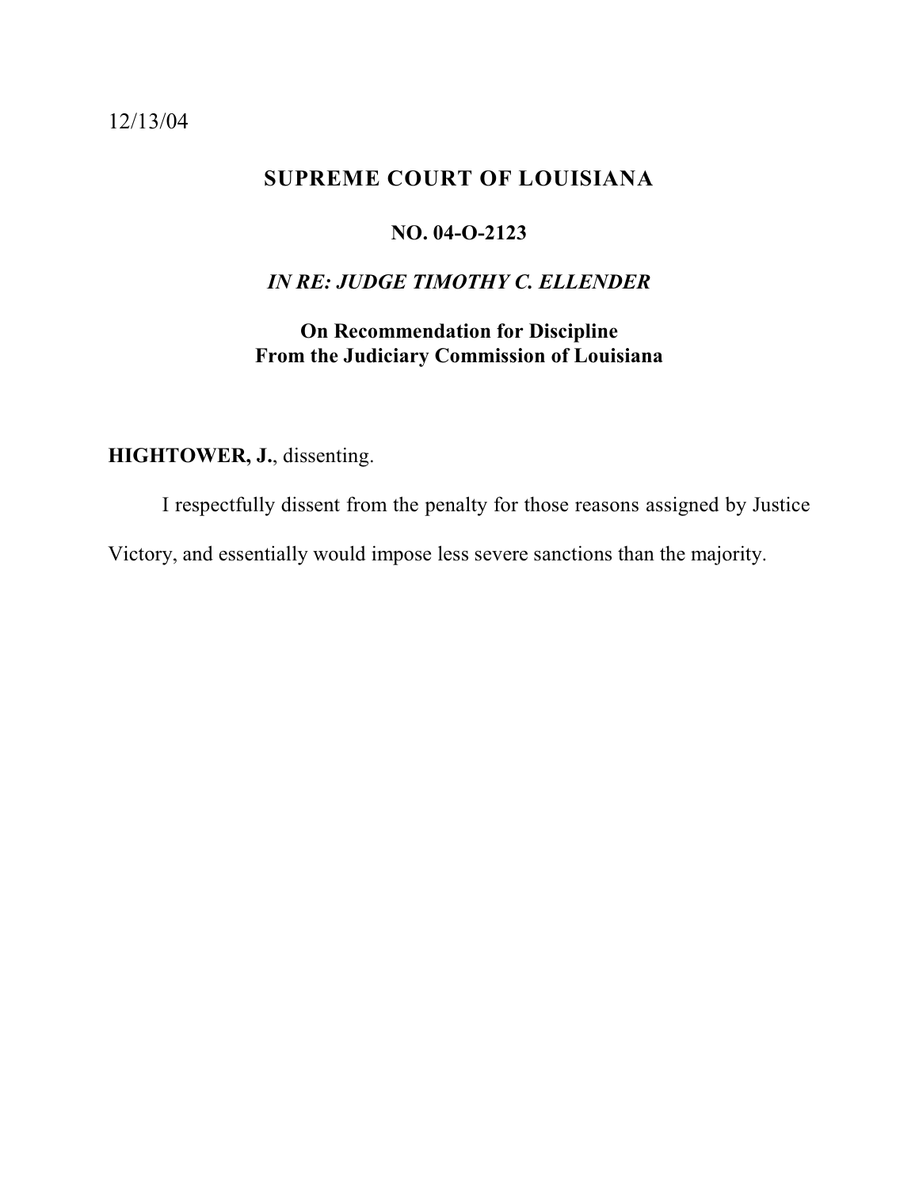## <span id="page-18-0"></span>12/13/04

# **SUPREME COURT OF LOUISIANA**

#### **NO. 04-O-2123**

# *IN RE: JUDGE TIMOTHY C. ELLENDER*

# **On Recommendation for Discipline From the Judiciary Commission of Louisiana**

# **HIGHTOWER, J.**, dissenting.

I respectfully dissent from the penalty for those reasons assigned by Justice Victory, and essentially would impose less severe sanctions than the majority.